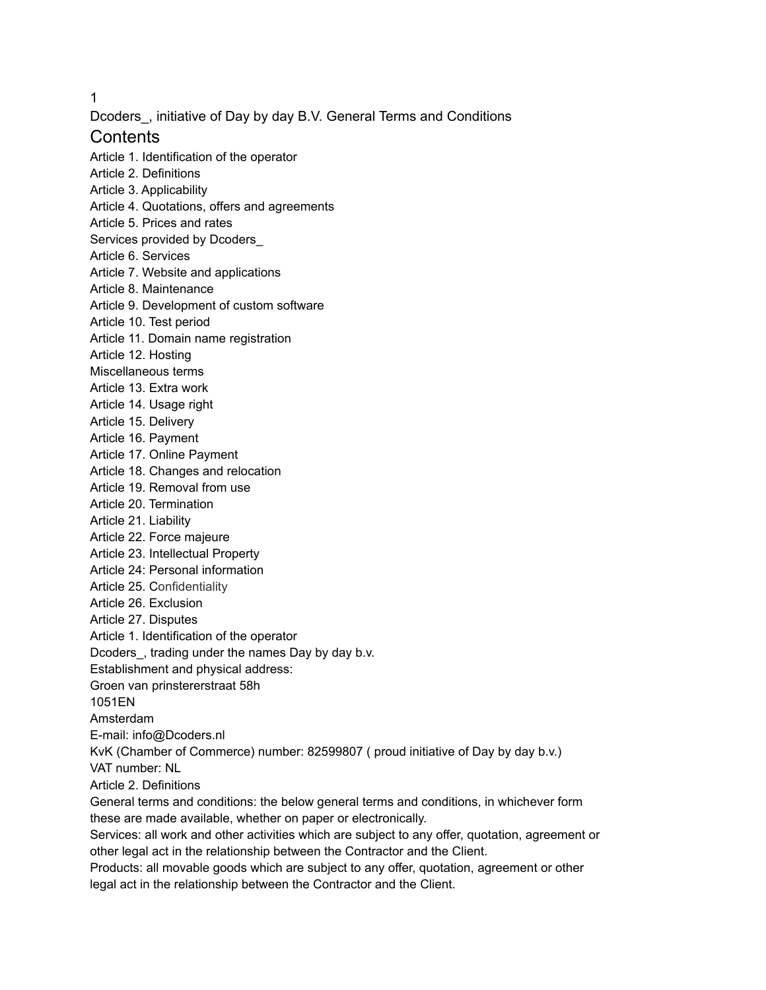1

Dcoders\_, initiative of Day by day B.V. General Terms and Conditions

# **Contents**

Article 1. Identification of the operator Article 2. Definitions Article 3. Applicability Article 4. Quotations, offers and agreements Article 5. Prices and rates Services provided by Dcoders\_ Article 6. Services Article 7. Website and applications Article 8. Maintenance Article 9. Development of custom software Article 10. Test period Article 11. Domain name registration Article 12. Hosting Miscellaneous terms Article 13. Extra work Article 14. Usage right Article 15. Delivery Article 16. Payment Article 17. Online Payment Article 18. Changes and relocation Article 19. Removal from use Article 20. Termination Article 21. Liability Article 22. Force majeure Article 23. Intellectual Property Article 24: Personal information Article 25. Confidentiality Article 26. Exclusion Article 27. Disputes Article 1. Identification of the operator Dcoders\_, trading under the names Day by day b.v. Establishment and physical address: Groen van prinstererstraat 58h 1051EN Amsterdam E-mail: info@Dcoders.nl KvK (Chamber of Commerce) number: 82599807 ( proud initiative of Day by day b.v.) VAT number: NL Article 2. Definitions General terms and conditions: the below general terms and conditions, in whichever form these are made available, whether on paper or electronically. Services: all work and other activities which are subject to any offer, quotation, agreement or other legal act in the relationship between the Contractor and the Client.

Products: all movable goods which are subject to any offer, quotation, agreement or other legal act in the relationship between the Contractor and the Client.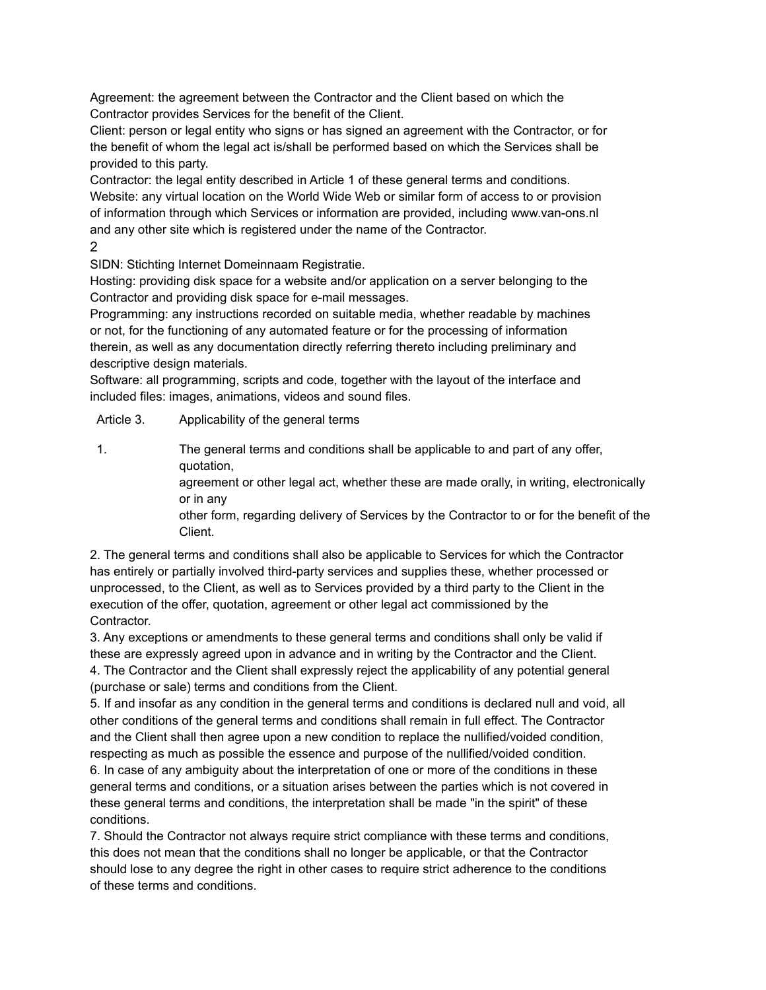Agreement: the agreement between the Contractor and the Client based on which the Contractor provides Services for the benefit of the Client.

Client: person or legal entity who signs or has signed an agreement with the Contractor, or for the benefit of whom the legal act is/shall be performed based on which the Services shall be provided to this party.

Contractor: the legal entity described in Article 1 of these general terms and conditions. Website: any virtual location on the World Wide Web or similar form of access to or provision of information through which Services or information are provided, including www.van-ons.nl and any other site which is registered under the name of the Contractor. 2

SIDN: Stichting Internet Domeinnaam Registratie.

Hosting: providing disk space for a website and/or application on a server belonging to the Contractor and providing disk space for e-mail messages.

Programming: any instructions recorded on suitable media, whether readable by machines or not, for the functioning of any automated feature or for the processing of information therein, as well as any documentation directly referring thereto including preliminary and descriptive design materials.

Software: all programming, scripts and code, together with the layout of the interface and included files: images, animations, videos and sound files.

Article 3. Applicability of the general terms

1. The general terms and conditions shall be applicable to and part of any offer, quotation,

> agreement or other legal act, whether these are made orally, in writing, electronically or in any

other form, regarding delivery of Services by the Contractor to or for the benefit of the Client.

2. The general terms and conditions shall also be applicable to Services for which the Contractor has entirely or partially involved third-party services and supplies these, whether processed or unprocessed, to the Client, as well as to Services provided by a third party to the Client in the execution of the offer, quotation, agreement or other legal act commissioned by the Contractor.

3. Any exceptions or amendments to these general terms and conditions shall only be valid if these are expressly agreed upon in advance and in writing by the Contractor and the Client. 4. The Contractor and the Client shall expressly reject the applicability of any potential general (purchase or sale) terms and conditions from the Client.

5. If and insofar as any condition in the general terms and conditions is declared null and void, all other conditions of the general terms and conditions shall remain in full effect. The Contractor and the Client shall then agree upon a new condition to replace the nullified/voided condition, respecting as much as possible the essence and purpose of the nullified/voided condition.

6. In case of any ambiguity about the interpretation of one or more of the conditions in these general terms and conditions, or a situation arises between the parties which is not covered in these general terms and conditions, the interpretation shall be made "in the spirit" of these conditions.

7. Should the Contractor not always require strict compliance with these terms and conditions, this does not mean that the conditions shall no longer be applicable, or that the Contractor should lose to any degree the right in other cases to require strict adherence to the conditions of these terms and conditions.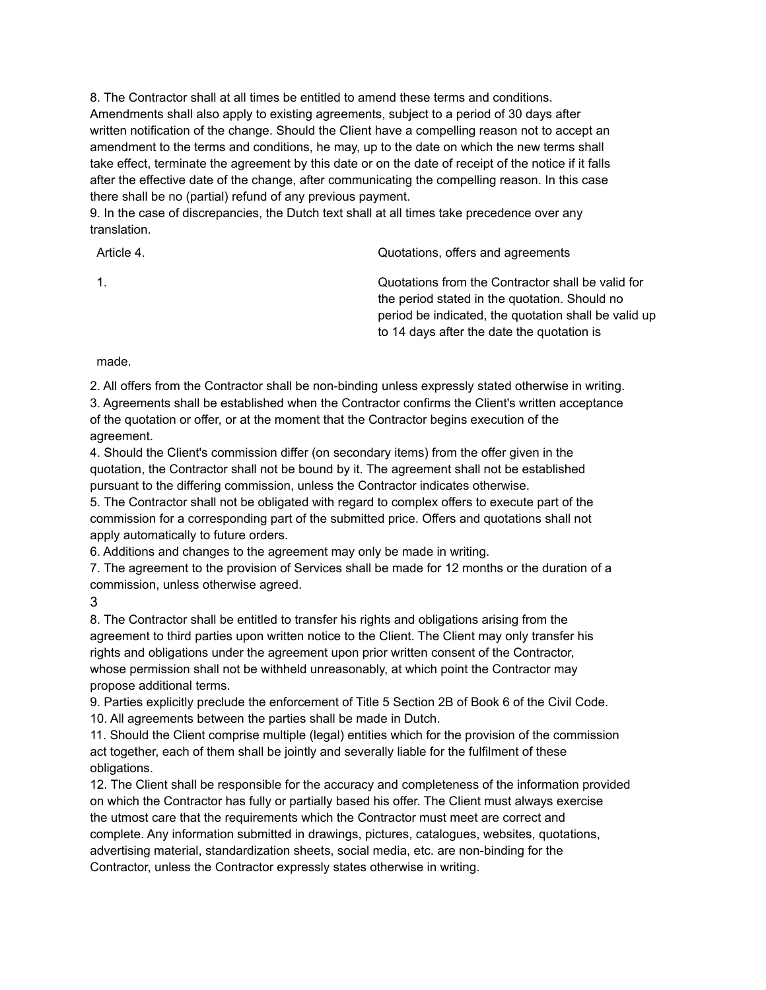8. The Contractor shall at all times be entitled to amend these terms and conditions. Amendments shall also apply to existing agreements, subject to a period of 30 days after written notification of the change. Should the Client have a compelling reason not to accept an amendment to the terms and conditions, he may, up to the date on which the new terms shall take effect, terminate the agreement by this date or on the date of receipt of the notice if it falls after the effective date of the change, after communicating the compelling reason. In this case there shall be no (partial) refund of any previous payment.

9. In the case of discrepancies, the Dutch text shall at all times take precedence over any translation.

| Article 4.     | Quotations, offers and agreements                                                                                                                                                                        |
|----------------|----------------------------------------------------------------------------------------------------------------------------------------------------------------------------------------------------------|
| $\mathbf{1}$ . | Quotations from the Contractor shall be valid for<br>the period stated in the quotation. Should no<br>period be indicated, the quotation shall be valid up<br>to 14 days after the date the quotation is |

made.

2. All offers from the Contractor shall be non-binding unless expressly stated otherwise in writing.

3. Agreements shall be established when the Contractor confirms the Client's written acceptance of the quotation or offer, or at the moment that the Contractor begins execution of the agreement.

4. Should the Client's commission differ (on secondary items) from the offer given in the quotation, the Contractor shall not be bound by it. The agreement shall not be established pursuant to the differing commission, unless the Contractor indicates otherwise.

5. The Contractor shall not be obligated with regard to complex offers to execute part of the commission for a corresponding part of the submitted price. Offers and quotations shall not apply automatically to future orders.

6. Additions and changes to the agreement may only be made in writing.

7. The agreement to the provision of Services shall be made for 12 months or the duration of a commission, unless otherwise agreed.

3

8. The Contractor shall be entitled to transfer his rights and obligations arising from the agreement to third parties upon written notice to the Client. The Client may only transfer his rights and obligations under the agreement upon prior written consent of the Contractor, whose permission shall not be withheld unreasonably, at which point the Contractor may propose additional terms.

9. Parties explicitly preclude the enforcement of Title 5 Section 2B of Book 6 of the Civil Code. 10. All agreements between the parties shall be made in Dutch.

11. Should the Client comprise multiple (legal) entities which for the provision of the commission act together, each of them shall be jointly and severally liable for the fulfilment of these obligations.

12. The Client shall be responsible for the accuracy and completeness of the information provided on which the Contractor has fully or partially based his offer. The Client must always exercise the utmost care that the requirements which the Contractor must meet are correct and complete. Any information submitted in drawings, pictures, catalogues, websites, quotations, advertising material, standardization sheets, social media, etc. are non-binding for the Contractor, unless the Contractor expressly states otherwise in writing.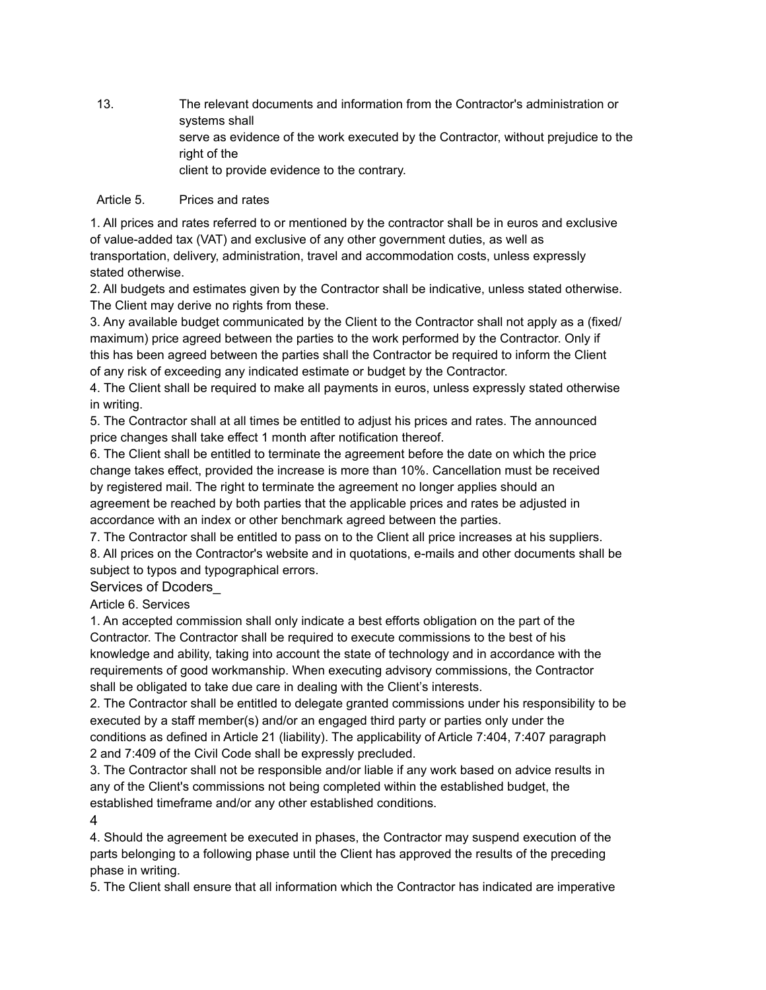13. The relevant documents and information from the Contractor's administration or systems shall serve as evidence of the work executed by the Contractor, without prejudice to the right of the client to provide evidence to the contrary.

### Article 5. Prices and rates

1. All prices and rates referred to or mentioned by the contractor shall be in euros and exclusive of value-added tax (VAT) and exclusive of any other government duties, as well as transportation, delivery, administration, travel and accommodation costs, unless expressly stated otherwise.

2. All budgets and estimates given by the Contractor shall be indicative, unless stated otherwise. The Client may derive no rights from these.

3. Any available budget communicated by the Client to the Contractor shall not apply as a (fixed/ maximum) price agreed between the parties to the work performed by the Contractor. Only if this has been agreed between the parties shall the Contractor be required to inform the Client of any risk of exceeding any indicated estimate or budget by the Contractor.

4. The Client shall be required to make all payments in euros, unless expressly stated otherwise in writing.

5. The Contractor shall at all times be entitled to adjust his prices and rates. The announced price changes shall take effect 1 month after notification thereof.

6. The Client shall be entitled to terminate the agreement before the date on which the price change takes effect, provided the increase is more than 10%. Cancellation must be received by registered mail. The right to terminate the agreement no longer applies should an agreement be reached by both parties that the applicable prices and rates be adjusted in accordance with an index or other benchmark agreed between the parties.

7. The Contractor shall be entitled to pass on to the Client all price increases at his suppliers.

8. All prices on the Contractor's website and in quotations, e-mails and other documents shall be subject to typos and typographical errors.

### Services of Dcoders\_

Article 6. Services

1. An accepted commission shall only indicate a best efforts obligation on the part of the Contractor. The Contractor shall be required to execute commissions to the best of his knowledge and ability, taking into account the state of technology and in accordance with the requirements of good workmanship. When executing advisory commissions, the Contractor shall be obligated to take due care in dealing with the Client's interests.

2. The Contractor shall be entitled to delegate granted commissions under his responsibility to be executed by a staff member(s) and/or an engaged third party or parties only under the conditions as defined in Article 21 (liability). The applicability of Article 7:404, 7:407 paragraph 2 and 7:409 of the Civil Code shall be expressly precluded.

3. The Contractor shall not be responsible and/or liable if any work based on advice results in any of the Client's commissions not being completed within the established budget, the established timeframe and/or any other established conditions.

4

4. Should the agreement be executed in phases, the Contractor may suspend execution of the parts belonging to a following phase until the Client has approved the results of the preceding phase in writing.

5. The Client shall ensure that all information which the Contractor has indicated are imperative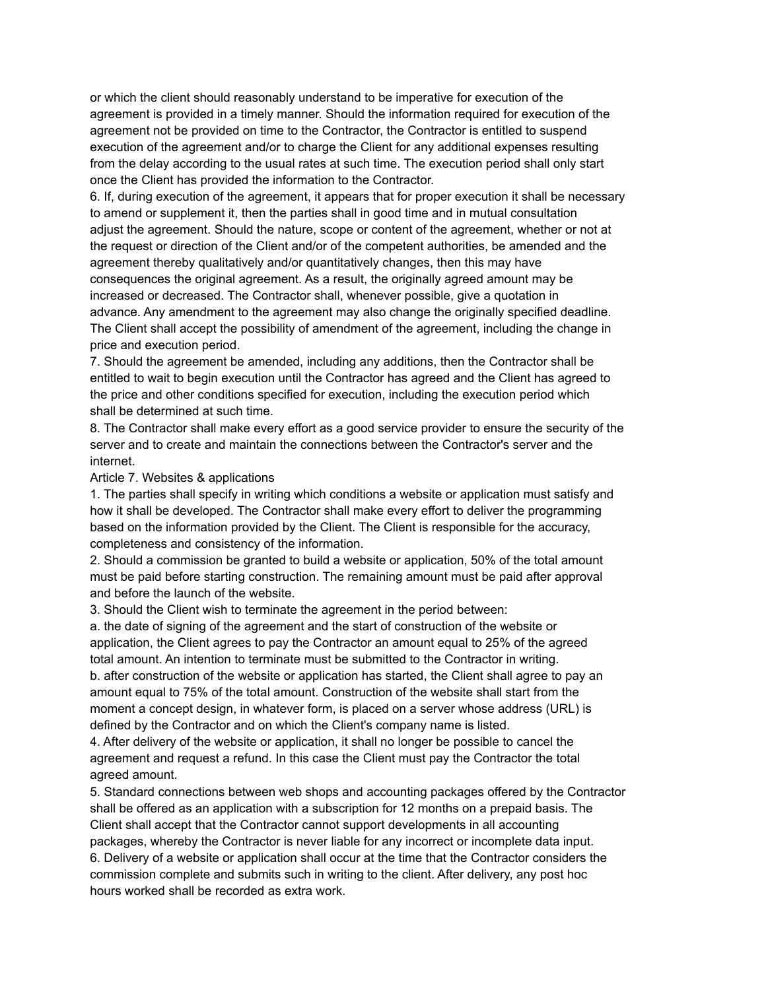or which the client should reasonably understand to be imperative for execution of the agreement is provided in a timely manner. Should the information required for execution of the agreement not be provided on time to the Contractor, the Contractor is entitled to suspend execution of the agreement and/or to charge the Client for any additional expenses resulting from the delay according to the usual rates at such time. The execution period shall only start once the Client has provided the information to the Contractor.

6. If, during execution of the agreement, it appears that for proper execution it shall be necessary to amend or supplement it, then the parties shall in good time and in mutual consultation adjust the agreement. Should the nature, scope or content of the agreement, whether or not at the request or direction of the Client and/or of the competent authorities, be amended and the agreement thereby qualitatively and/or quantitatively changes, then this may have consequences the original agreement. As a result, the originally agreed amount may be increased or decreased. The Contractor shall, whenever possible, give a quotation in advance. Any amendment to the agreement may also change the originally specified deadline. The Client shall accept the possibility of amendment of the agreement, including the change in price and execution period.

7. Should the agreement be amended, including any additions, then the Contractor shall be entitled to wait to begin execution until the Contractor has agreed and the Client has agreed to the price and other conditions specified for execution, including the execution period which shall be determined at such time.

8. The Contractor shall make every effort as a good service provider to ensure the security of the server and to create and maintain the connections between the Contractor's server and the internet.

#### Article 7. Websites & applications

1. The parties shall specify in writing which conditions a website or application must satisfy and how it shall be developed. The Contractor shall make every effort to deliver the programming based on the information provided by the Client. The Client is responsible for the accuracy, completeness and consistency of the information.

2. Should a commission be granted to build a website or application, 50% of the total amount must be paid before starting construction. The remaining amount must be paid after approval and before the launch of the website.

3. Should the Client wish to terminate the agreement in the period between:

a. the date of signing of the agreement and the start of construction of the website or application, the Client agrees to pay the Contractor an amount equal to 25% of the agreed total amount. An intention to terminate must be submitted to the Contractor in writing. b. after construction of the website or application has started, the Client shall agree to pay an amount equal to 75% of the total amount. Construction of the website shall start from the moment a concept design, in whatever form, is placed on a server whose address (URL) is defined by the Contractor and on which the Client's company name is listed.

4. After delivery of the website or application, it shall no longer be possible to cancel the agreement and request a refund. In this case the Client must pay the Contractor the total agreed amount.

5. Standard connections between web shops and accounting packages offered by the Contractor shall be offered as an application with a subscription for 12 months on a prepaid basis. The Client shall accept that the Contractor cannot support developments in all accounting packages, whereby the Contractor is never liable for any incorrect or incomplete data input. 6. Delivery of a website or application shall occur at the time that the Contractor considers the commission complete and submits such in writing to the client. After delivery, any post hoc hours worked shall be recorded as extra work.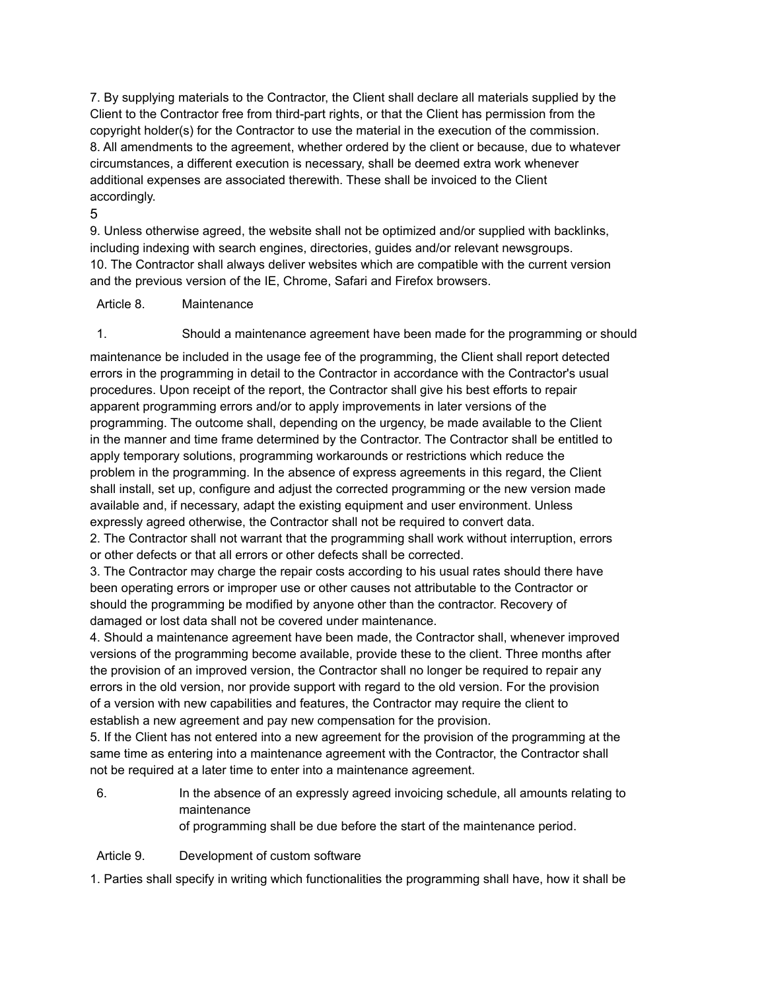7. By supplying materials to the Contractor, the Client shall declare all materials supplied by the Client to the Contractor free from third-part rights, or that the Client has permission from the copyright holder(s) for the Contractor to use the material in the execution of the commission. 8. All amendments to the agreement, whether ordered by the client or because, due to whatever circumstances, a different execution is necessary, shall be deemed extra work whenever additional expenses are associated therewith. These shall be invoiced to the Client accordingly.

5

9. Unless otherwise agreed, the website shall not be optimized and/or supplied with backlinks, including indexing with search engines, directories, guides and/or relevant newsgroups. 10. The Contractor shall always deliver websites which are compatible with the current version and the previous version of the IE, Chrome, Safari and Firefox browsers.

Article 8. Maintenance

1. Should a maintenance agreement have been made for the programming or should

maintenance be included in the usage fee of the programming, the Client shall report detected errors in the programming in detail to the Contractor in accordance with the Contractor's usual procedures. Upon receipt of the report, the Contractor shall give his best efforts to repair apparent programming errors and/or to apply improvements in later versions of the programming. The outcome shall, depending on the urgency, be made available to the Client in the manner and time frame determined by the Contractor. The Contractor shall be entitled to apply temporary solutions, programming workarounds or restrictions which reduce the problem in the programming. In the absence of express agreements in this regard, the Client shall install, set up, configure and adjust the corrected programming or the new version made available and, if necessary, adapt the existing equipment and user environment. Unless expressly agreed otherwise, the Contractor shall not be required to convert data.

2. The Contractor shall not warrant that the programming shall work without interruption, errors or other defects or that all errors or other defects shall be corrected.

3. The Contractor may charge the repair costs according to his usual rates should there have been operating errors or improper use or other causes not attributable to the Contractor or should the programming be modified by anyone other than the contractor. Recovery of damaged or lost data shall not be covered under maintenance.

4. Should a maintenance agreement have been made, the Contractor shall, whenever improved versions of the programming become available, provide these to the client. Three months after the provision of an improved version, the Contractor shall no longer be required to repair any errors in the old version, nor provide support with regard to the old version. For the provision of a version with new capabilities and features, the Contractor may require the client to establish a new agreement and pay new compensation for the provision.

5. If the Client has not entered into a new agreement for the provision of the programming at the same time as entering into a maintenance agreement with the Contractor, the Contractor shall not be required at a later time to enter into a maintenance agreement.

- 6. In the absence of an expressly agreed invoicing schedule, all amounts relating to maintenance of programming shall be due before the start of the maintenance period.
- Article 9. Development of custom software

1. Parties shall specify in writing which functionalities the programming shall have, how it shall be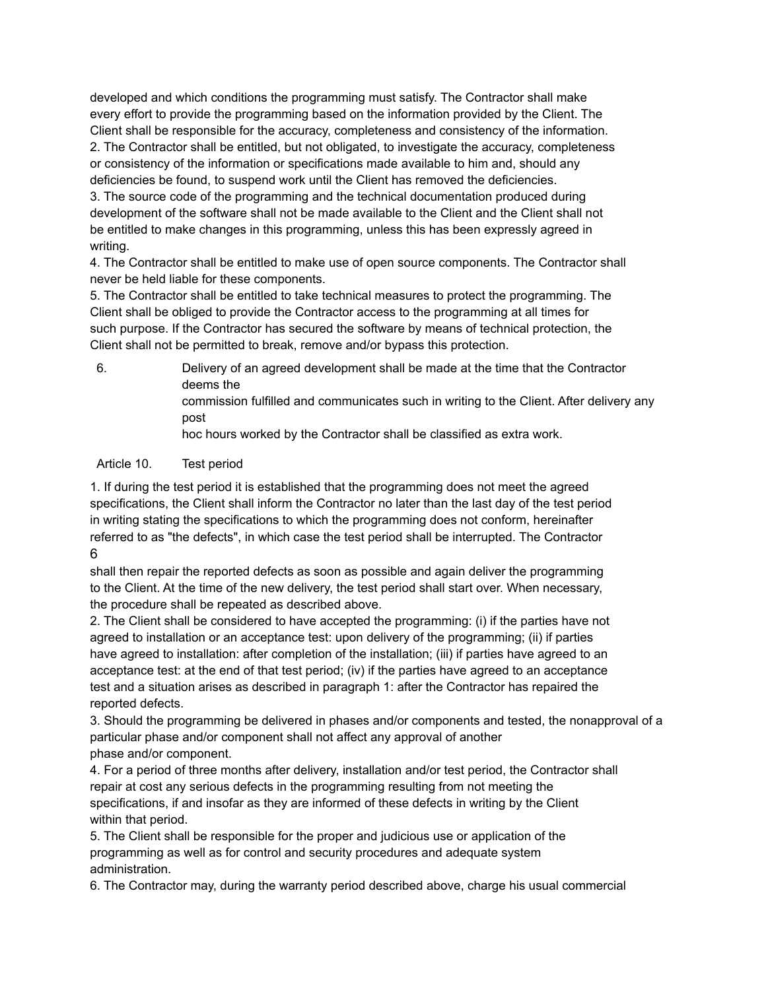developed and which conditions the programming must satisfy. The Contractor shall make every effort to provide the programming based on the information provided by the Client. The Client shall be responsible for the accuracy, completeness and consistency of the information. 2. The Contractor shall be entitled, but not obligated, to investigate the accuracy, completeness or consistency of the information or specifications made available to him and, should any deficiencies be found, to suspend work until the Client has removed the deficiencies. 3. The source code of the programming and the technical documentation produced during development of the software shall not be made available to the Client and the Client shall not be entitled to make changes in this programming, unless this has been expressly agreed in writing.

4. The Contractor shall be entitled to make use of open source components. The Contractor shall never be held liable for these components.

5. The Contractor shall be entitled to take technical measures to protect the programming. The Client shall be obliged to provide the Contractor access to the programming at all times for such purpose. If the Contractor has secured the software by means of technical protection, the Client shall not be permitted to break, remove and/or bypass this protection.

6. Delivery of an agreed development shall be made at the time that the Contractor deems the commission fulfilled and communicates such in writing to the Client. After delivery any post hoc hours worked by the Contractor shall be classified as extra work.

### Article 10. Test period

1. If during the test period it is established that the programming does not meet the agreed specifications, the Client shall inform the Contractor no later than the last day of the test period in writing stating the specifications to which the programming does not conform, hereinafter referred to as "the defects", in which case the test period shall be interrupted. The Contractor 6

shall then repair the reported defects as soon as possible and again deliver the programming to the Client. At the time of the new delivery, the test period shall start over. When necessary, the procedure shall be repeated as described above.

2. The Client shall be considered to have accepted the programming: (i) if the parties have not agreed to installation or an acceptance test: upon delivery of the programming; (ii) if parties have agreed to installation: after completion of the installation; (iii) if parties have agreed to an acceptance test: at the end of that test period; (iv) if the parties have agreed to an acceptance test and a situation arises as described in paragraph 1: after the Contractor has repaired the reported defects.

3. Should the programming be delivered in phases and/or components and tested, the nonapproval of a particular phase and/or component shall not affect any approval of another phase and/or component.

4. For a period of three months after delivery, installation and/or test period, the Contractor shall repair at cost any serious defects in the programming resulting from not meeting the specifications, if and insofar as they are informed of these defects in writing by the Client within that period.

5. The Client shall be responsible for the proper and judicious use or application of the programming as well as for control and security procedures and adequate system administration.

6. The Contractor may, during the warranty period described above, charge his usual commercial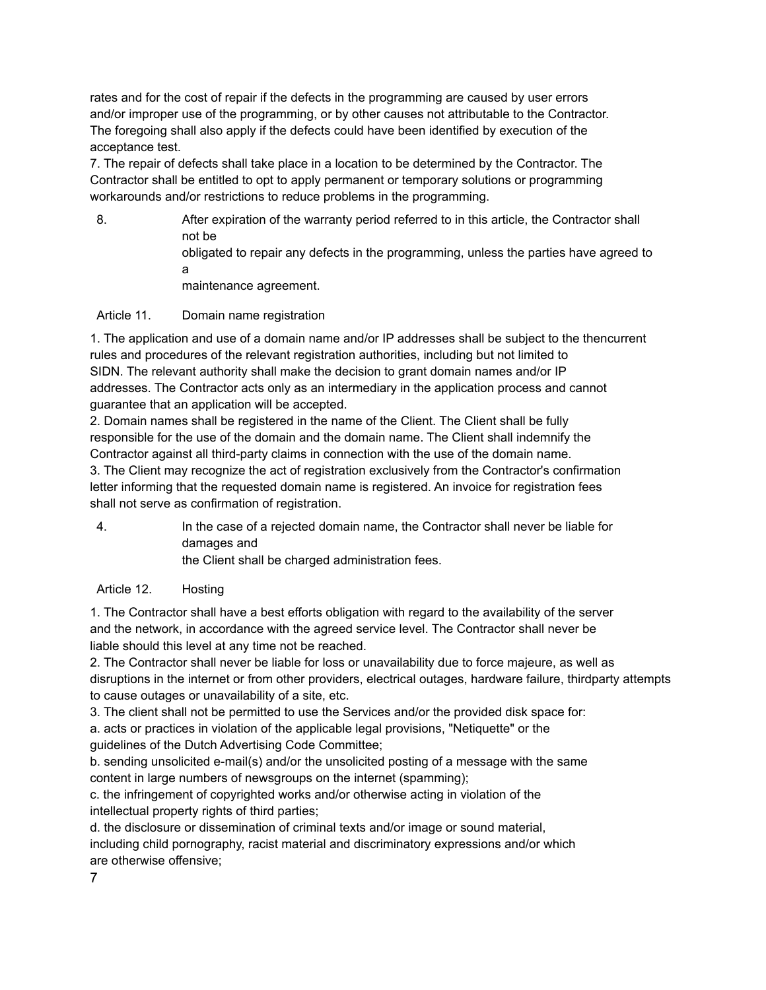rates and for the cost of repair if the defects in the programming are caused by user errors and/or improper use of the programming, or by other causes not attributable to the Contractor. The foregoing shall also apply if the defects could have been identified by execution of the acceptance test.

7. The repair of defects shall take place in a location to be determined by the Contractor. The Contractor shall be entitled to opt to apply permanent or temporary solutions or programming workarounds and/or restrictions to reduce problems in the programming.

8. After expiration of the warranty period referred to in this article, the Contractor shall not be obligated to repair any defects in the programming, unless the parties have agreed to a maintenance agreement.

# Article 11. Domain name registration

1. The application and use of a domain name and/or IP addresses shall be subject to the thencurrent rules and procedures of the relevant registration authorities, including but not limited to SIDN. The relevant authority shall make the decision to grant domain names and/or IP addresses. The Contractor acts only as an intermediary in the application process and cannot guarantee that an application will be accepted.

2. Domain names shall be registered in the name of the Client. The Client shall be fully responsible for the use of the domain and the domain name. The Client shall indemnify the Contractor against all third-party claims in connection with the use of the domain name.

3. The Client may recognize the act of registration exclusively from the Contractor's confirmation letter informing that the requested domain name is registered. An invoice for registration fees shall not serve as confirmation of registration.

4. In the case of a rejected domain name, the Contractor shall never be liable for damages and the Client shall be charged administration fees.

# Article 12. Hosting

1. The Contractor shall have a best efforts obligation with regard to the availability of the server and the network, in accordance with the agreed service level. The Contractor shall never be liable should this level at any time not be reached.

2. The Contractor shall never be liable for loss or unavailability due to force majeure, as well as disruptions in the internet or from other providers, electrical outages, hardware failure, thirdparty attempts to cause outages or unavailability of a site, etc.

3. The client shall not be permitted to use the Services and/or the provided disk space for:

a. acts or practices in violation of the applicable legal provisions, "Netiquette" or the guidelines of the Dutch Advertising Code Committee;

b. sending unsolicited e-mail(s) and/or the unsolicited posting of a message with the same content in large numbers of newsgroups on the internet (spamming);

c. the infringement of copyrighted works and/or otherwise acting in violation of the intellectual property rights of third parties;

d. the disclosure or dissemination of criminal texts and/or image or sound material, including child pornography, racist material and discriminatory expressions and/or which are otherwise offensive;

7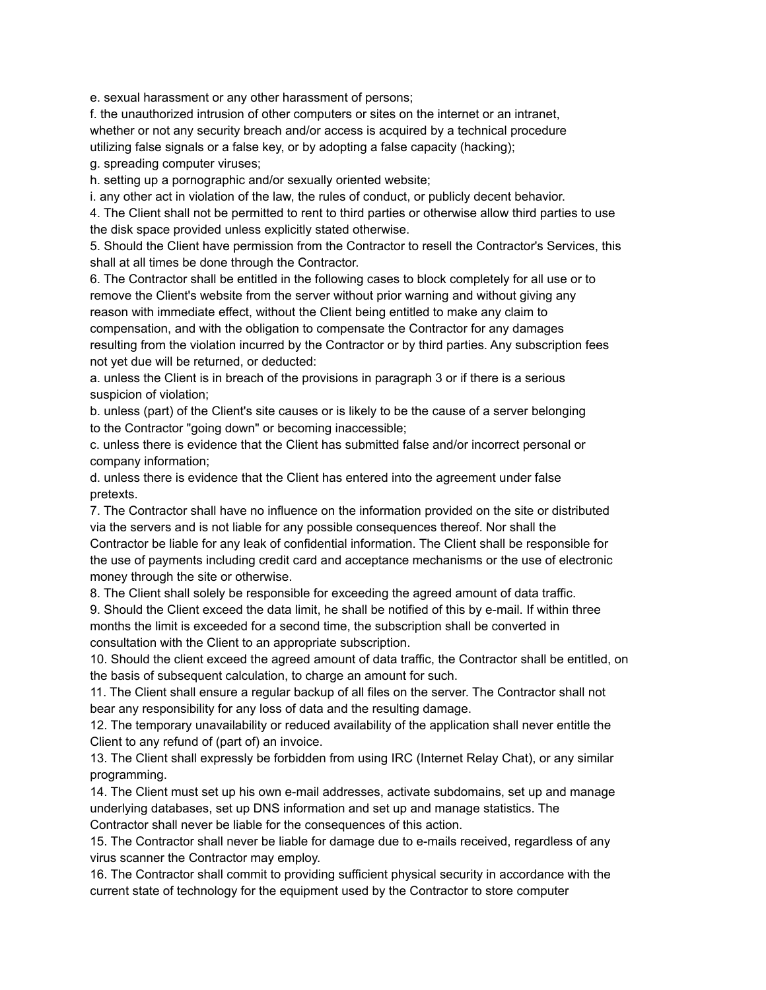e. sexual harassment or any other harassment of persons;

f. the unauthorized intrusion of other computers or sites on the internet or an intranet, whether or not any security breach and/or access is acquired by a technical procedure utilizing false signals or a false key, or by adopting a false capacity (hacking);

g. spreading computer viruses;

h. setting up a pornographic and/or sexually oriented website;

i. any other act in violation of the law, the rules of conduct, or publicly decent behavior.

4. The Client shall not be permitted to rent to third parties or otherwise allow third parties to use the disk space provided unless explicitly stated otherwise.

5. Should the Client have permission from the Contractor to resell the Contractor's Services, this shall at all times be done through the Contractor.

6. The Contractor shall be entitled in the following cases to block completely for all use or to remove the Client's website from the server without prior warning and without giving any reason with immediate effect, without the Client being entitled to make any claim to compensation, and with the obligation to compensate the Contractor for any damages resulting from the violation incurred by the Contractor or by third parties. Any subscription fees not yet due will be returned, or deducted:

a. unless the Client is in breach of the provisions in paragraph 3 or if there is a serious suspicion of violation;

b. unless (part) of the Client's site causes or is likely to be the cause of a server belonging to the Contractor "going down" or becoming inaccessible;

c. unless there is evidence that the Client has submitted false and/or incorrect personal or company information;

d. unless there is evidence that the Client has entered into the agreement under false pretexts.

7. The Contractor shall have no influence on the information provided on the site or distributed via the servers and is not liable for any possible consequences thereof. Nor shall the

Contractor be liable for any leak of confidential information. The Client shall be responsible for the use of payments including credit card and acceptance mechanisms or the use of electronic money through the site or otherwise.

8. The Client shall solely be responsible for exceeding the agreed amount of data traffic.

9. Should the Client exceed the data limit, he shall be notified of this by e-mail. If within three months the limit is exceeded for a second time, the subscription shall be converted in consultation with the Client to an appropriate subscription.

10. Should the client exceed the agreed amount of data traffic, the Contractor shall be entitled, on the basis of subsequent calculation, to charge an amount for such.

11. The Client shall ensure a regular backup of all files on the server. The Contractor shall not bear any responsibility for any loss of data and the resulting damage.

12. The temporary unavailability or reduced availability of the application shall never entitle the Client to any refund of (part of) an invoice.

13. The Client shall expressly be forbidden from using IRC (Internet Relay Chat), or any similar programming.

14. The Client must set up his own e-mail addresses, activate subdomains, set up and manage underlying databases, set up DNS information and set up and manage statistics. The Contractor shall never be liable for the consequences of this action.

15. The Contractor shall never be liable for damage due to e-mails received, regardless of any virus scanner the Contractor may employ.

16. The Contractor shall commit to providing sufficient physical security in accordance with the current state of technology for the equipment used by the Contractor to store computer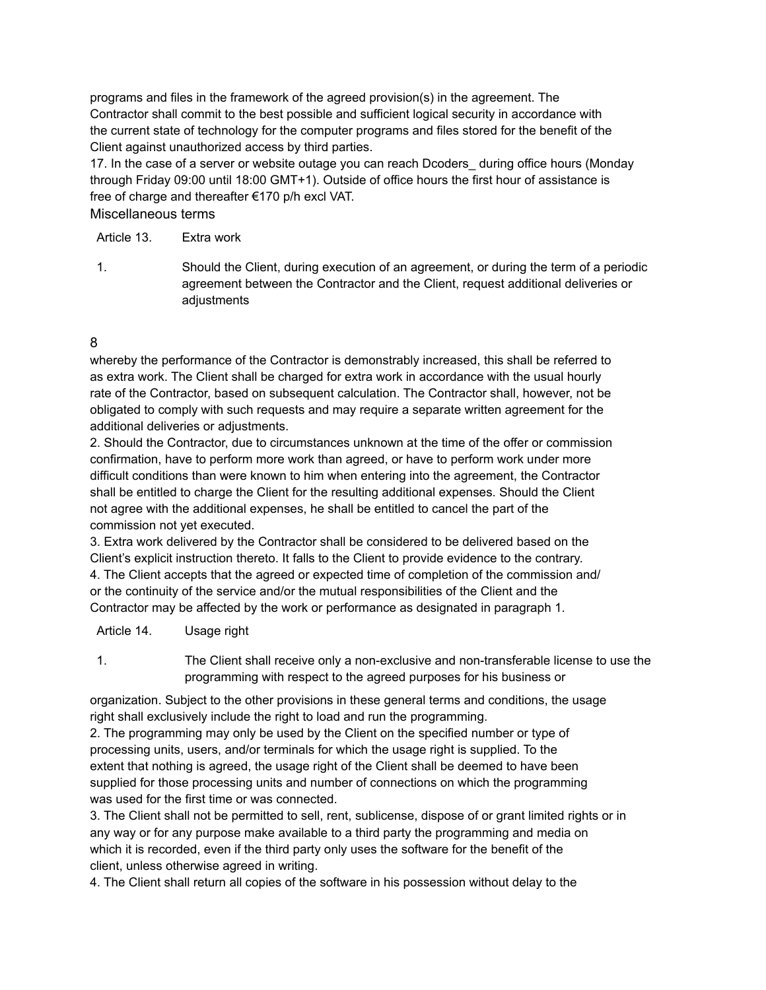programs and files in the framework of the agreed provision(s) in the agreement. The Contractor shall commit to the best possible and sufficient logical security in accordance with the current state of technology for the computer programs and files stored for the benefit of the Client against unauthorized access by third parties.

17. In the case of a server or website outage you can reach Dcoders\_ during office hours (Monday through Friday 09:00 until 18:00 GMT+1). Outside of office hours the first hour of assistance is free of charge and thereafter €170 p/h excl VAT.

Miscellaneous terms

Article 13. Extra work

1. Should the Client, during execution of an agreement, or during the term of a periodic agreement between the Contractor and the Client, request additional deliveries or adjustments

# 8

whereby the performance of the Contractor is demonstrably increased, this shall be referred to as extra work. The Client shall be charged for extra work in accordance with the usual hourly rate of the Contractor, based on subsequent calculation. The Contractor shall, however, not be obligated to comply with such requests and may require a separate written agreement for the additional deliveries or adjustments.

2. Should the Contractor, due to circumstances unknown at the time of the offer or commission confirmation, have to perform more work than agreed, or have to perform work under more difficult conditions than were known to him when entering into the agreement, the Contractor shall be entitled to charge the Client for the resulting additional expenses. Should the Client not agree with the additional expenses, he shall be entitled to cancel the part of the commission not yet executed.

3. Extra work delivered by the Contractor shall be considered to be delivered based on the Client's explicit instruction thereto. It falls to the Client to provide evidence to the contrary. 4. The Client accepts that the agreed or expected time of completion of the commission and/ or the continuity of the service and/or the mutual responsibilities of the Client and the Contractor may be affected by the work or performance as designated in paragraph 1.

Article 14. Usage right

1. The Client shall receive only a non-exclusive and non-transferable license to use the programming with respect to the agreed purposes for his business or

organization. Subject to the other provisions in these general terms and conditions, the usage right shall exclusively include the right to load and run the programming.

2. The programming may only be used by the Client on the specified number or type of processing units, users, and/or terminals for which the usage right is supplied. To the extent that nothing is agreed, the usage right of the Client shall be deemed to have been supplied for those processing units and number of connections on which the programming was used for the first time or was connected.

3. The Client shall not be permitted to sell, rent, sublicense, dispose of or grant limited rights or in any way or for any purpose make available to a third party the programming and media on which it is recorded, even if the third party only uses the software for the benefit of the client, unless otherwise agreed in writing.

4. The Client shall return all copies of the software in his possession without delay to the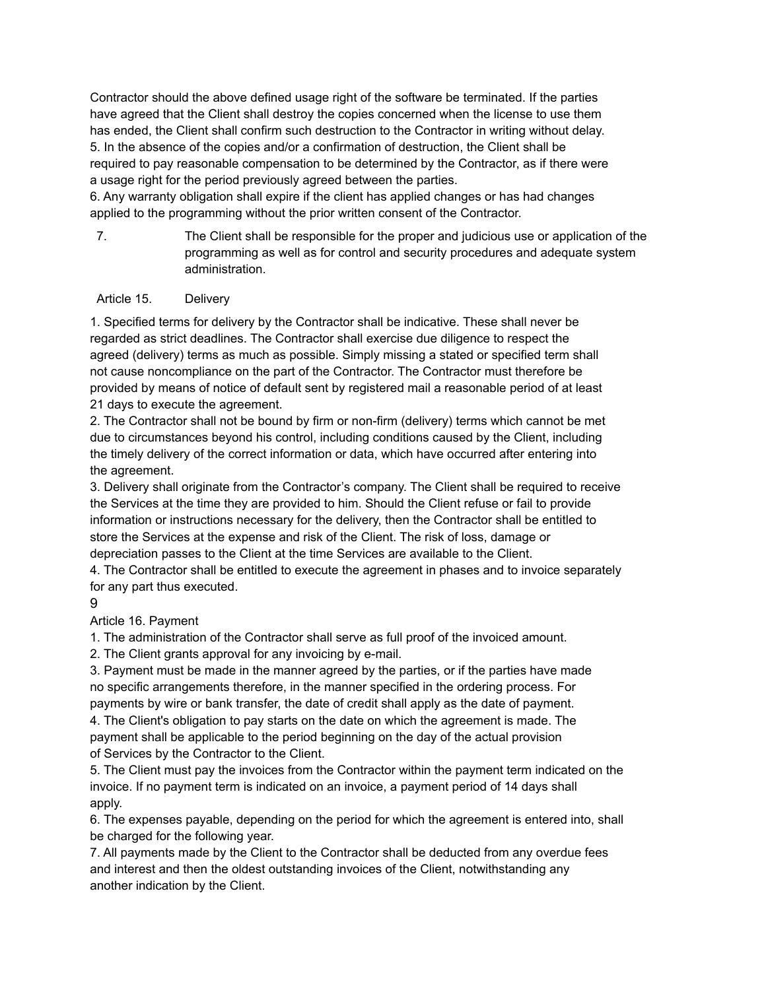Contractor should the above defined usage right of the software be terminated. If the parties have agreed that the Client shall destroy the copies concerned when the license to use them has ended, the Client shall confirm such destruction to the Contractor in writing without delay. 5. In the absence of the copies and/or a confirmation of destruction, the Client shall be required to pay reasonable compensation to be determined by the Contractor, as if there were a usage right for the period previously agreed between the parties.

6. Any warranty obligation shall expire if the client has applied changes or has had changes applied to the programming without the prior written consent of the Contractor.

7. The Client shall be responsible for the proper and judicious use or application of the programming as well as for control and security procedures and adequate system administration.

### Article 15. Delivery

1. Specified terms for delivery by the Contractor shall be indicative. These shall never be regarded as strict deadlines. The Contractor shall exercise due diligence to respect the agreed (delivery) terms as much as possible. Simply missing a stated or specified term shall not cause noncompliance on the part of the Contractor. The Contractor must therefore be provided by means of notice of default sent by registered mail a reasonable period of at least 21 days to execute the agreement.

2. The Contractor shall not be bound by firm or non-firm (delivery) terms which cannot be met due to circumstances beyond his control, including conditions caused by the Client, including the timely delivery of the correct information or data, which have occurred after entering into the agreement.

3. Delivery shall originate from the Contractor's company. The Client shall be required to receive the Services at the time they are provided to him. Should the Client refuse or fail to provide information or instructions necessary for the delivery, then the Contractor shall be entitled to store the Services at the expense and risk of the Client. The risk of loss, damage or depreciation passes to the Client at the time Services are available to the Client.

4. The Contractor shall be entitled to execute the agreement in phases and to invoice separately for any part thus executed.

9

Article 16. Payment

1. The administration of the Contractor shall serve as full proof of the invoiced amount.

2. The Client grants approval for any invoicing by e-mail.

3. Payment must be made in the manner agreed by the parties, or if the parties have made no specific arrangements therefore, in the manner specified in the ordering process. For payments by wire or bank transfer, the date of credit shall apply as the date of payment.

4. The Client's obligation to pay starts on the date on which the agreement is made. The payment shall be applicable to the period beginning on the day of the actual provision of Services by the Contractor to the Client.

5. The Client must pay the invoices from the Contractor within the payment term indicated on the invoice. If no payment term is indicated on an invoice, a payment period of 14 days shall apply.

6. The expenses payable, depending on the period for which the agreement is entered into, shall be charged for the following year.

7. All payments made by the Client to the Contractor shall be deducted from any overdue fees and interest and then the oldest outstanding invoices of the Client, notwithstanding any another indication by the Client.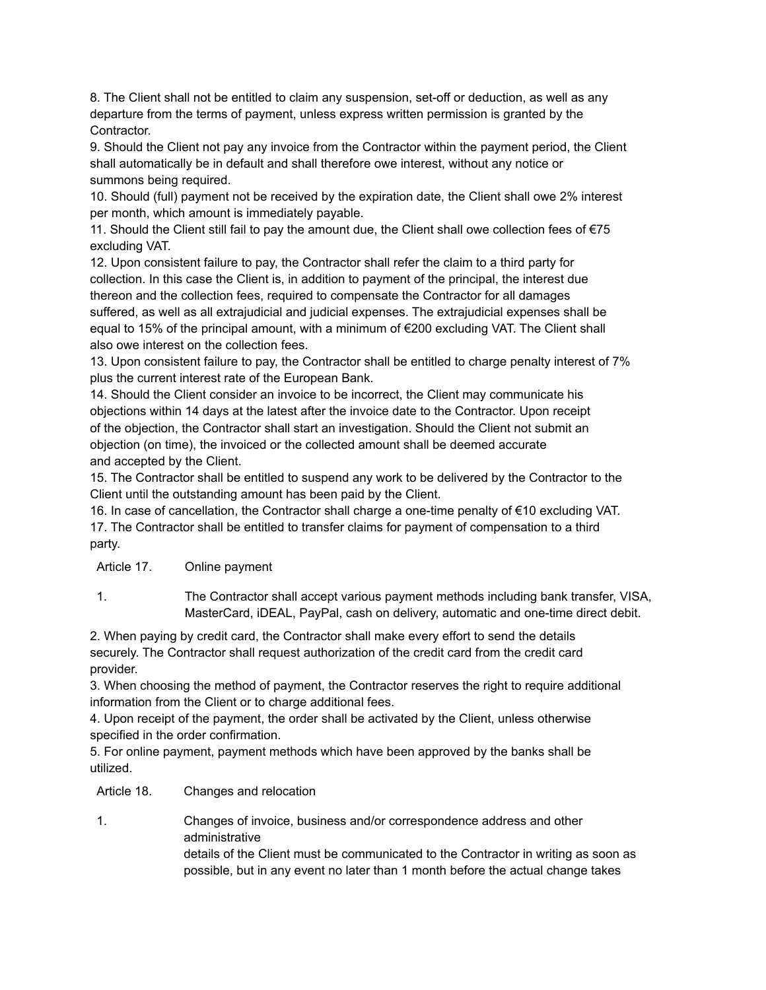8. The Client shall not be entitled to claim any suspension, set-off or deduction, as well as any departure from the terms of payment, unless express written permission is granted by the Contractor.

9. Should the Client not pay any invoice from the Contractor within the payment period, the Client shall automatically be in default and shall therefore owe interest, without any notice or summons being required.

10. Should (full) payment not be received by the expiration date, the Client shall owe 2% interest per month, which amount is immediately payable.

11. Should the Client still fail to pay the amount due, the Client shall owe collection fees of €75 excluding VAT.

12. Upon consistent failure to pay, the Contractor shall refer the claim to a third party for collection. In this case the Client is, in addition to payment of the principal, the interest due thereon and the collection fees, required to compensate the Contractor for all damages suffered, as well as all extrajudicial and judicial expenses. The extrajudicial expenses shall be equal to 15% of the principal amount, with a minimum of €200 excluding VAT. The Client shall also owe interest on the collection fees.

13. Upon consistent failure to pay, the Contractor shall be entitled to charge penalty interest of 7% plus the current interest rate of the European Bank.

14. Should the Client consider an invoice to be incorrect, the Client may communicate his objections within 14 days at the latest after the invoice date to the Contractor. Upon receipt of the objection, the Contractor shall start an investigation. Should the Client not submit an objection (on time), the invoiced or the collected amount shall be deemed accurate and accepted by the Client.

15. The Contractor shall be entitled to suspend any work to be delivered by the Contractor to the Client until the outstanding amount has been paid by the Client.

16. In case of cancellation, the Contractor shall charge a one-time penalty of €10 excluding VAT. 17. The Contractor shall be entitled to transfer claims for payment of compensation to a third party.

Article 17. Online payment

1. The Contractor shall accept various payment methods including bank transfer, VISA, MasterCard, iDEAL, PayPal, cash on delivery, automatic and one-time direct debit.

2. When paying by credit card, the Contractor shall make every effort to send the details securely. The Contractor shall request authorization of the credit card from the credit card provider.

3. When choosing the method of payment, the Contractor reserves the right to require additional information from the Client or to charge additional fees.

4. Upon receipt of the payment, the order shall be activated by the Client, unless otherwise specified in the order confirmation.

5. For online payment, payment methods which have been approved by the banks shall be utilized.

Article 18. Changes and relocation

1. Changes of invoice, business and/or correspondence address and other administrative details of the Client must be communicated to the Contractor in writing as soon as possible, but in any event no later than 1 month before the actual change takes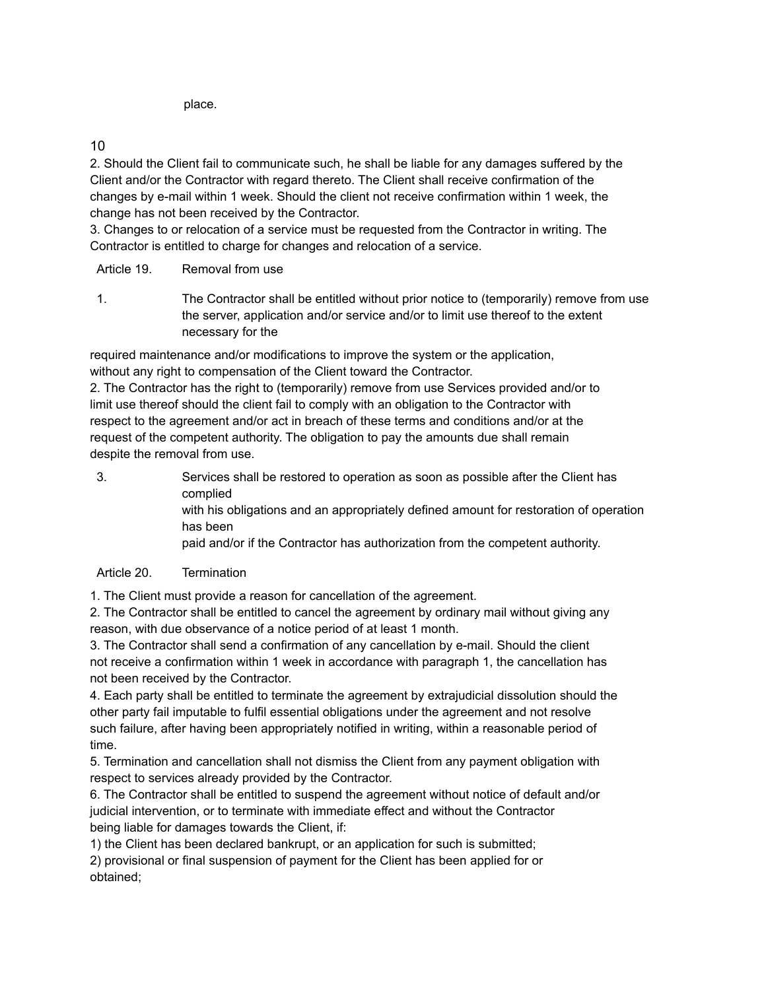place.

10

2. Should the Client fail to communicate such, he shall be liable for any damages suffered by the Client and/or the Contractor with regard thereto. The Client shall receive confirmation of the changes by e-mail within 1 week. Should the client not receive confirmation within 1 week, the change has not been received by the Contractor.

3. Changes to or relocation of a service must be requested from the Contractor in writing. The Contractor is entitled to charge for changes and relocation of a service.

Article 19. Removal from use

1. The Contractor shall be entitled without prior notice to (temporarily) remove from use the server, application and/or service and/or to limit use thereof to the extent necessary for the

required maintenance and/or modifications to improve the system or the application, without any right to compensation of the Client toward the Contractor.

2. The Contractor has the right to (temporarily) remove from use Services provided and/or to limit use thereof should the client fail to comply with an obligation to the Contractor with respect to the agreement and/or act in breach of these terms and conditions and/or at the request of the competent authority. The obligation to pay the amounts due shall remain despite the removal from use.

3. Services shall be restored to operation as soon as possible after the Client has complied with his obligations and an appropriately defined amount for restoration of operation has been paid and/or if the Contractor has authorization from the competent authority.

# Article 20. Termination

1. The Client must provide a reason for cancellation of the agreement.

2. The Contractor shall be entitled to cancel the agreement by ordinary mail without giving any reason, with due observance of a notice period of at least 1 month.

3. The Contractor shall send a confirmation of any cancellation by e-mail. Should the client not receive a confirmation within 1 week in accordance with paragraph 1, the cancellation has not been received by the Contractor.

4. Each party shall be entitled to terminate the agreement by extrajudicial dissolution should the other party fail imputable to fulfil essential obligations under the agreement and not resolve such failure, after having been appropriately notified in writing, within a reasonable period of time.

5. Termination and cancellation shall not dismiss the Client from any payment obligation with respect to services already provided by the Contractor.

6. The Contractor shall be entitled to suspend the agreement without notice of default and/or judicial intervention, or to terminate with immediate effect and without the Contractor being liable for damages towards the Client, if:

1) the Client has been declared bankrupt, or an application for such is submitted;

2) provisional or final suspension of payment for the Client has been applied for or obtained;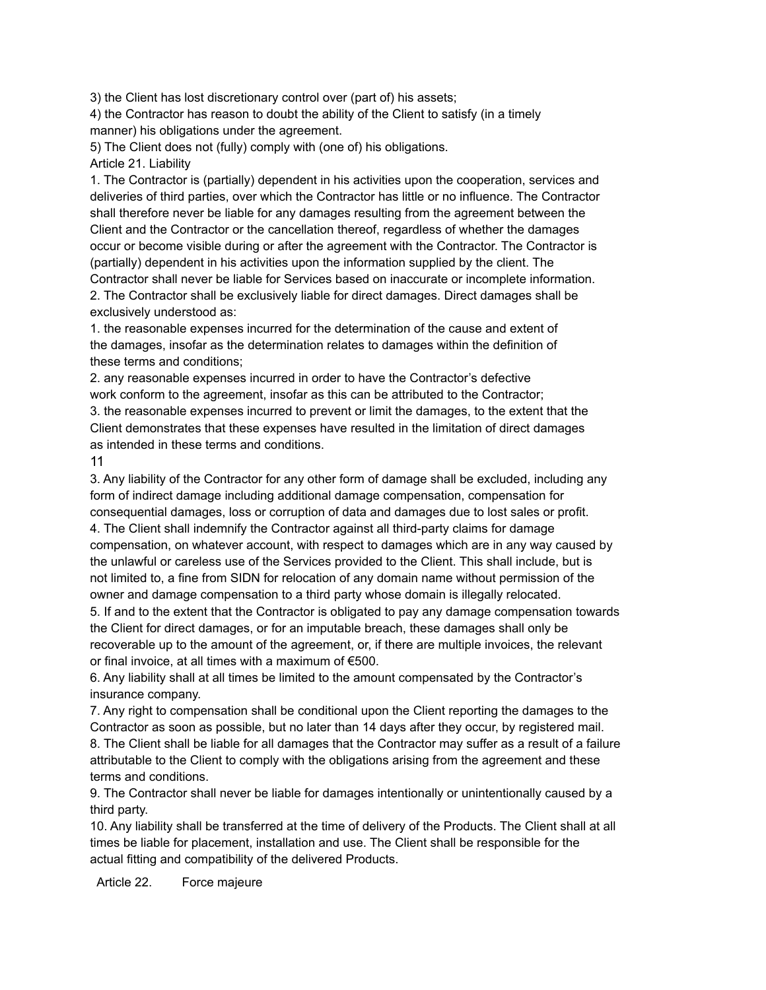3) the Client has lost discretionary control over (part of) his assets;

4) the Contractor has reason to doubt the ability of the Client to satisfy (in a timely manner) his obligations under the agreement.

5) The Client does not (fully) comply with (one of) his obligations.

Article 21. Liability

1. The Contractor is (partially) dependent in his activities upon the cooperation, services and deliveries of third parties, over which the Contractor has little or no influence. The Contractor shall therefore never be liable for any damages resulting from the agreement between the Client and the Contractor or the cancellation thereof, regardless of whether the damages occur or become visible during or after the agreement with the Contractor. The Contractor is (partially) dependent in his activities upon the information supplied by the client. The Contractor shall never be liable for Services based on inaccurate or incomplete information. 2. The Contractor shall be exclusively liable for direct damages. Direct damages shall be exclusively understood as:

1. the reasonable expenses incurred for the determination of the cause and extent of the damages, insofar as the determination relates to damages within the definition of these terms and conditions;

2. any reasonable expenses incurred in order to have the Contractor's defective work conform to the agreement, insofar as this can be attributed to the Contractor; 3. the reasonable expenses incurred to prevent or limit the damages, to the extent that the Client demonstrates that these expenses have resulted in the limitation of direct damages as intended in these terms and conditions.

11

3. Any liability of the Contractor for any other form of damage shall be excluded, including any form of indirect damage including additional damage compensation, compensation for consequential damages, loss or corruption of data and damages due to lost sales or profit. 4. The Client shall indemnify the Contractor against all third-party claims for damage compensation, on whatever account, with respect to damages which are in any way caused by the unlawful or careless use of the Services provided to the Client. This shall include, but is not limited to, a fine from SIDN for relocation of any domain name without permission of the owner and damage compensation to a third party whose domain is illegally relocated. 5. If and to the extent that the Contractor is obligated to pay any damage compensation towards

the Client for direct damages, or for an imputable breach, these damages shall only be recoverable up to the amount of the agreement, or, if there are multiple invoices, the relevant or final invoice, at all times with a maximum of €500.

6. Any liability shall at all times be limited to the amount compensated by the Contractor's insurance company.

7. Any right to compensation shall be conditional upon the Client reporting the damages to the Contractor as soon as possible, but no later than 14 days after they occur, by registered mail. 8. The Client shall be liable for all damages that the Contractor may suffer as a result of a failure attributable to the Client to comply with the obligations arising from the agreement and these terms and conditions.

9. The Contractor shall never be liable for damages intentionally or unintentionally caused by a third party.

10. Any liability shall be transferred at the time of delivery of the Products. The Client shall at all times be liable for placement, installation and use. The Client shall be responsible for the actual fitting and compatibility of the delivered Products.

Article 22. Force majeure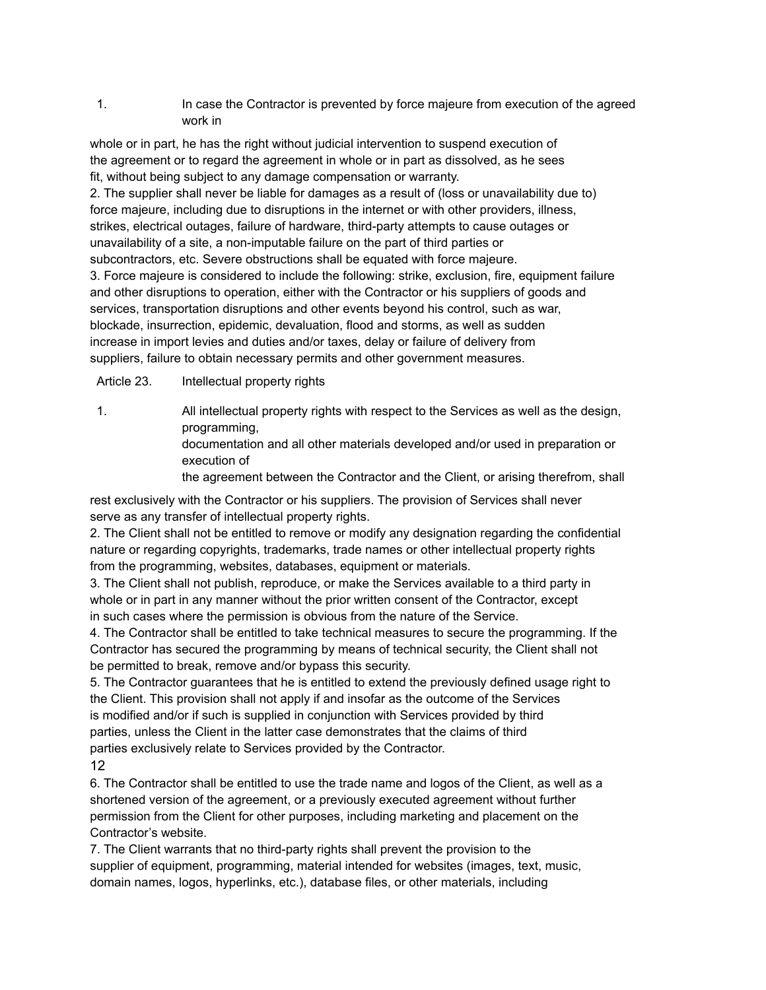### 1. In case the Contractor is prevented by force majeure from execution of the agreed work in

whole or in part, he has the right without judicial intervention to suspend execution of the agreement or to regard the agreement in whole or in part as dissolved, as he sees fit, without being subject to any damage compensation or warranty.

2. The supplier shall never be liable for damages as a result of (loss or unavailability due to) force majeure, including due to disruptions in the internet or with other providers, illness, strikes, electrical outages, failure of hardware, third-party attempts to cause outages or unavailability of a site, a non-imputable failure on the part of third parties or subcontractors, etc. Severe obstructions shall be equated with force majeure.

3. Force majeure is considered to include the following: strike, exclusion, fire, equipment failure and other disruptions to operation, either with the Contractor or his suppliers of goods and services, transportation disruptions and other events beyond his control, such as war, blockade, insurrection, epidemic, devaluation, flood and storms, as well as sudden increase in import levies and duties and/or taxes, delay or failure of delivery from suppliers, failure to obtain necessary permits and other government measures.

Article 23. Intellectual property rights

1. All intellectual property rights with respect to the Services as well as the design, programming,

> documentation and all other materials developed and/or used in preparation or execution of

the agreement between the Contractor and the Client, or arising therefrom, shall

rest exclusively with the Contractor or his suppliers. The provision of Services shall never serve as any transfer of intellectual property rights.

2. The Client shall not be entitled to remove or modify any designation regarding the confidential nature or regarding copyrights, trademarks, trade names or other intellectual property rights from the programming, websites, databases, equipment or materials.

3. The Client shall not publish, reproduce, or make the Services available to a third party in whole or in part in any manner without the prior written consent of the Contractor, except in such cases where the permission is obvious from the nature of the Service.

4. The Contractor shall be entitled to take technical measures to secure the programming. If the Contractor has secured the programming by means of technical security, the Client shall not be permitted to break, remove and/or bypass this security.

5. The Contractor guarantees that he is entitled to extend the previously defined usage right to the Client. This provision shall not apply if and insofar as the outcome of the Services is modified and/or if such is supplied in conjunction with Services provided by third parties, unless the Client in the latter case demonstrates that the claims of third parties exclusively relate to Services provided by the Contractor. 12

6. The Contractor shall be entitled to use the trade name and logos of the Client, as well as a shortened version of the agreement, or a previously executed agreement without further permission from the Client for other purposes, including marketing and placement on the Contractor's website.

7. The Client warrants that no third-party rights shall prevent the provision to the supplier of equipment, programming, material intended for websites (images, text, music, domain names, logos, hyperlinks, etc.), database files, or other materials, including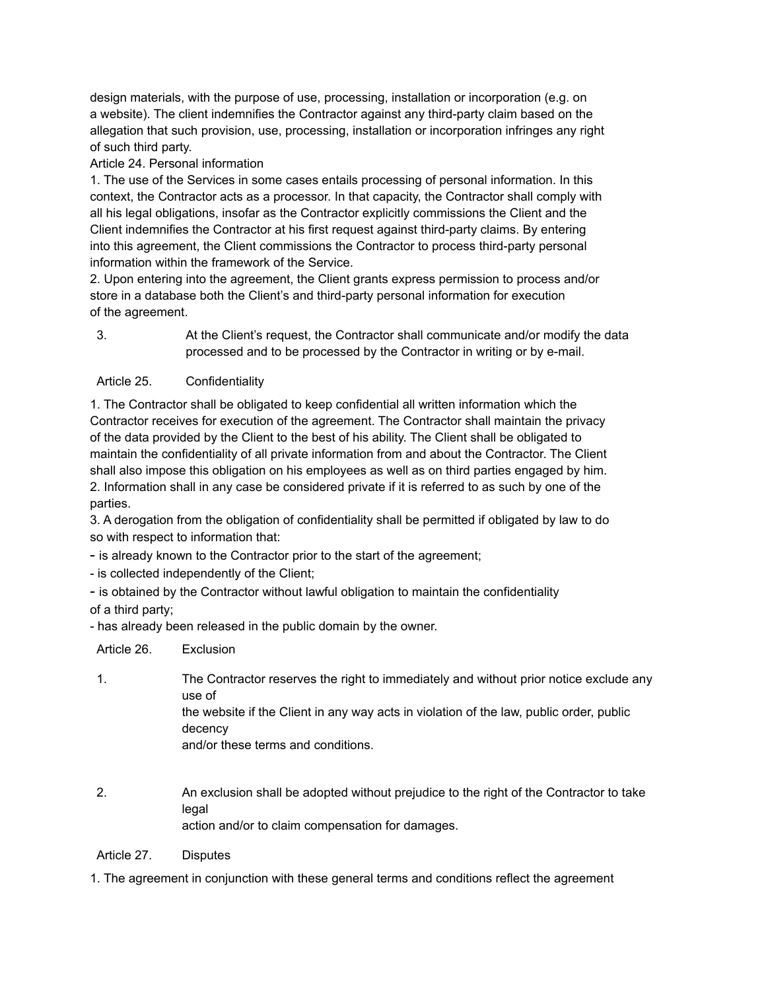design materials, with the purpose of use, processing, installation or incorporation (e.g. on a website). The client indemnifies the Contractor against any third-party claim based on the allegation that such provision, use, processing, installation or incorporation infringes any right of such third party.

### Article 24. Personal information

1. The use of the Services in some cases entails processing of personal information. In this context, the Contractor acts as a processor. In that capacity, the Contractor shall comply with all his legal obligations, insofar as the Contractor explicitly commissions the Client and the Client indemnifies the Contractor at his first request against third-party claims. By entering into this agreement, the Client commissions the Contractor to process third-party personal information within the framework of the Service.

2. Upon entering into the agreement, the Client grants express permission to process and/or store in a database both the Client's and third-party personal information for execution of the agreement.

3. At the Client's request, the Contractor shall communicate and/or modify the data processed and to be processed by the Contractor in writing or by e-mail.

### Article 25. Confidentiality

1. The Contractor shall be obligated to keep confidential all written information which the Contractor receives for execution of the agreement. The Contractor shall maintain the privacy of the data provided by the Client to the best of his ability. The Client shall be obligated to maintain the confidentiality of all private information from and about the Contractor. The Client shall also impose this obligation on his employees as well as on third parties engaged by him. 2. Information shall in any case be considered private if it is referred to as such by one of the parties.

3. A derogation from the obligation of confidentiality shall be permitted if obligated by law to do so with respect to information that:

- is already known to the Contractor prior to the start of the agreement;

- is collected independently of the Client;
- is obtained by the Contractor without lawful obligation to maintain the confidentiality of a third party;

- has already been released in the public domain by the owner.

| Article 26. | Exclusion |
|-------------|-----------|
|             |           |

- 1. The Contractor reserves the right to immediately and without prior notice exclude any use of the website if the Client in any way acts in violation of the law, public order, public decency and/or these terms and conditions.
- 2. An exclusion shall be adopted without prejudice to the right of the Contractor to take legal action and/or to claim compensation for damages.

Article 27. Disputes

1. The agreement in conjunction with these general terms and conditions reflect the agreement